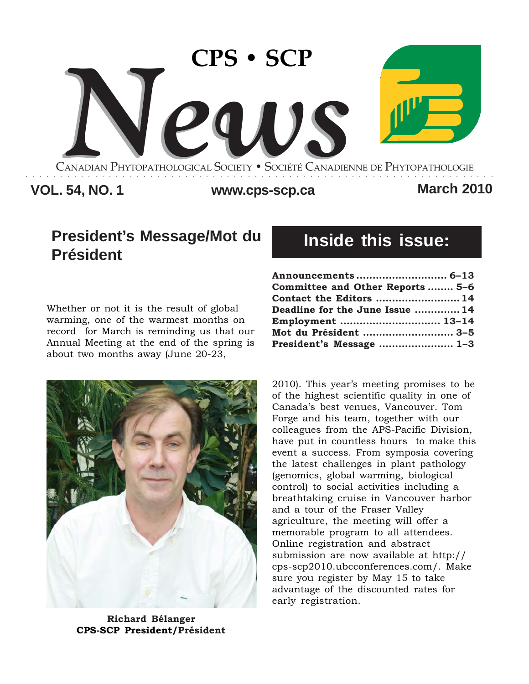

## **VOL. 54, NO. 1 www.cps-scp.ca March 2010**

# **President's Message/Mot du Président**

Whether or not it is the result of global warming, one of the warmest months on record for March is reminding us that our Annual Meeting at the end of the spring is about two months away (June 20-23,



**Richard Bélanger CPS-SCP President/Président**

# **Inside this issue:**

| Announcements  6–13             |  |
|---------------------------------|--|
| Committee and Other Reports 5-6 |  |
| Contact the Editors  14         |  |
| Deadline for the June Issue  14 |  |
| Employment  13–14               |  |
| Mot du Président  3-5           |  |
| President's Message  1-3        |  |

2010). This year's meeting promises to be of the highest scientific quality in one of Canada's best venues, Vancouver. Tom Forge and his team, together with our colleagues from the APS-Pacific Division, have put in countless hours to make this event a success. From symposia covering the latest challenges in plant pathology (genomics, global warming, biological control) to social activities including a breathtaking cruise in Vancouver harbor and a tour of the Fraser Valley agriculture, the meeting will offer a memorable program to all attendees. Online registration and abstract submission are now available at http:// cps-scp2010.ubcconferences.com/. Make sure you register by May 15 to take advantage of the discounted rates for early registration.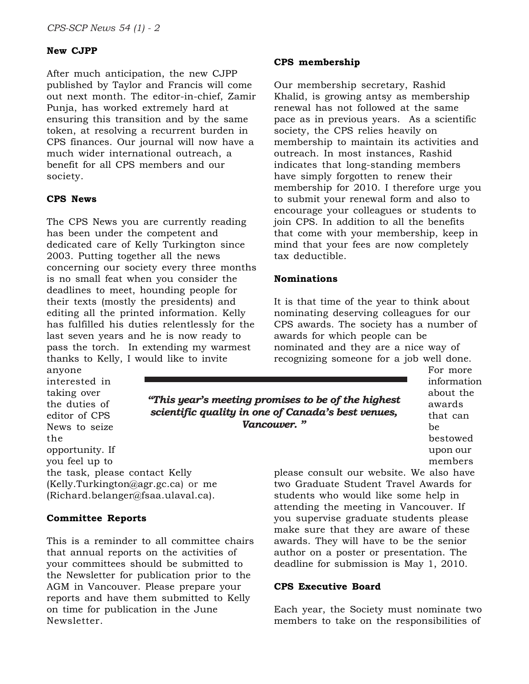#### **New CJPP**

After much anticipation, the new CJPP published by Taylor and Francis will come out next month. The editor-in-chief, Zamir Punja, has worked extremely hard at ensuring this transition and by the same token, at resolving a recurrent burden in CPS finances. Our journal will now have a much wider international outreach, a benefit for all CPS members and our society.

#### **CPS News**

The CPS News you are currently reading has been under the competent and dedicated care of Kelly Turkington since 2003. Putting together all the news concerning our society every three months is no small feat when you consider the deadlines to meet, hounding people for their texts (mostly the presidents) and editing all the printed information. Kelly has fulfilled his duties relentlessly for the last seven years and he is now ready to pass the torch. In extending my warmest thanks to Kelly, I would like to invite

anyone interested in taking over the duties of editor of CPS News to seize the opportunity. If you feel up to the task, please contact Kelly (Kelly.Turkington@agr.gc.ca) or me (Richard.belanger@fsaa.ulaval.ca).

#### **Committee Reports**

This is a reminder to all committee chairs that annual reports on the activities of your committees should be submitted to the Newsletter for publication prior to the AGM in Vancouver. Please prepare your reports and have them submitted to Kelly on time for publication in the June Newsletter.

#### **CPS membership**

Our membership secretary, Rashid Khalid, is growing antsy as membership renewal has not followed at the same pace as in previous years. As a scientific society, the CPS relies heavily on membership to maintain its activities and outreach. In most instances, Rashid indicates that long-standing members have simply forgotten to renew their membership for 2010. I therefore urge you to submit your renewal form and also to encourage your colleagues or students to join CPS. In addition to all the benefits that come with your membership, keep in mind that your fees are now completely tax deductible.

#### **Nominations**

It is that time of the year to think about nominating deserving colleagues for our CPS awards. The society has a number of awards for which people can be nominated and they are a nice way of recognizing someone for a job well done.

*"This year's meeting promises to be of the highest scientific quality in one of Canada's best venues, Vancouver. "*

For more information about the awards that can be bestowed upon our members

please consult our website. We also have two Graduate Student Travel Awards for students who would like some help in attending the meeting in Vancouver. If you supervise graduate students please make sure that they are aware of these awards. They will have to be the senior author on a poster or presentation. The deadline for submission is May 1, 2010.

#### **CPS Executive Board**

Each year, the Society must nominate two members to take on the responsibilities of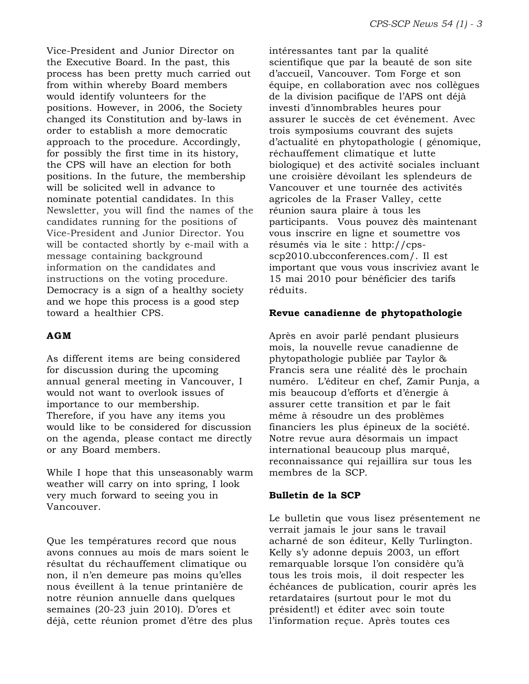Vice-President and Junior Director on the Executive Board. In the past, this process has been pretty much carried out from within whereby Board members would identify volunteers for the positions. However, in 2006, the Society changed its Constitution and by-laws in order to establish a more democratic approach to the procedure. Accordingly, for possibly the first time in its history, the CPS will have an election for both positions. In the future, the membership will be solicited well in advance to nominate potential candidates. In this Newsletter, you will find the names of the candidates running for the positions of Vice-President and Junior Director. You will be contacted shortly by e-mail with a message containing background information on the candidates and instructions on the voting procedure. Democracy is a sign of a healthy society and we hope this process is a good step toward a healthier CPS.

#### **AGM**

As different items are being considered for discussion during the upcoming annual general meeting in Vancouver, I would not want to overlook issues of importance to our membership. Therefore, if you have any items you would like to be considered for discussion on the agenda, please contact me directly or any Board members.

While I hope that this unseasonably warm weather will carry on into spring, I look very much forward to seeing you in Vancouver.

Que les températures record que nous avons connues au mois de mars soient le résultat du réchauffement climatique ou non, il n'en demeure pas moins qu'elles nous éveillent à la tenue printanière de notre réunion annuelle dans quelques semaines (20-23 juin 2010). D'ores et déjà, cette réunion promet d'être des plus intéressantes tant par la qualité scientifique que par la beauté de son site d'accueil, Vancouver. Tom Forge et son équipe, en collaboration avec nos collègues de la division pacifique de l'APS ont déjà investi d'innombrables heures pour assurer le succès de cet événement. Avec trois symposiums couvrant des sujets d'actualité en phytopathologie ( génomique, réchauffement climatique et lutte biologique) et des activité sociales incluant une croisière dévoilant les splendeurs de Vancouver et une tournée des activités agricoles de la Fraser Valley, cette réunion saura plaire à tous les participants. Vous pouvez dès maintenant vous inscrire en ligne et soumettre vos résumés via le site : http://cpsscp2010.ubcconferences.com/. Il est important que vous vous inscriviez avant le 15 mai 2010 pour bénéficier des tarifs réduits.

#### **Revue canadienne de phytopathologie**

Après en avoir parlé pendant plusieurs mois, la nouvelle revue canadienne de phytopathologie publiée par Taylor & Francis sera une réalité dès le prochain numéro. L'éditeur en chef, Zamir Punja, a mis beaucoup d'efforts et d'énergie à assurer cette transition et par le fait même à résoudre un des problèmes financiers les plus épineux de la société. Notre revue aura désormais un impact international beaucoup plus marqué, reconnaissance qui rejaillira sur tous les membres de la SCP.

#### **Bulletin de la SCP**

Le bulletin que vous lisez présentement ne verrait jamais le jour sans le travail acharné de son éditeur, Kelly Turlington. Kelly s'y adonne depuis 2003, un effort remarquable lorsque l'on considère qu'à tous les trois mois, il doit respecter les échéances de publication, courir après les retardataires (surtout pour le mot du président!) et éditer avec soin toute l'information reçue. Après toutes ces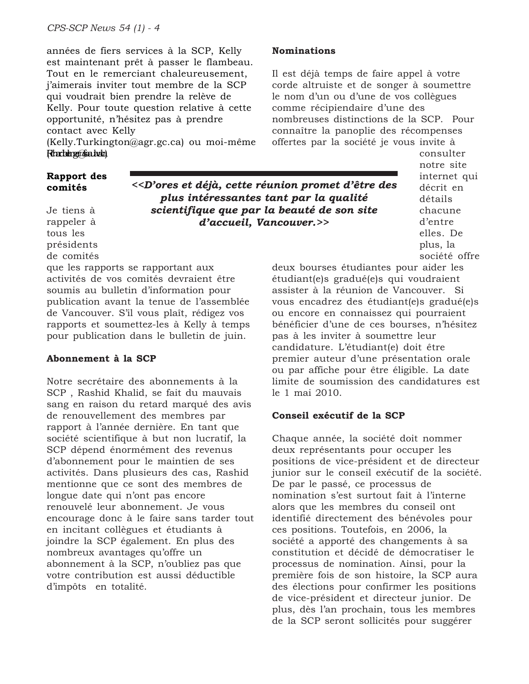années de fiers services à la SCP, Kelly est maintenant prêt à passer le flambeau. Tout en le remerciant chaleureusement, j'aimerais inviter tout membre de la SCP qui voudrait bien prendre la relève de Kelly. Pour toute question relative à cette opportunité, n'hésitez pas à prendre contact avec Kelly

(Kelly.Turkington@agr.gc.ca) ou moi-même Ricardenger@fsaa.tada

#### **Rapport des comités**

Je tiens à rappeler à tous les présidents de comités *<<D'ores et déjà, cette réunion promet d'être des plus intéressantes tant par la qualité scientifique que par la beauté de son site d'accueil, Vancouver.>>*

que les rapports se rapportant aux activités de vos comités devraient être soumis au bulletin d'information pour publication avant la tenue de l'assemblée de Vancouver. S'il vous plaît, rédigez vos rapports et soumettez-les à Kelly à temps pour publication dans le bulletin de juin.

#### **Abonnement à la SCP**

Notre secrétaire des abonnements à la SCP , Rashid Khalid, se fait du mauvais sang en raison du retard marqué des avis de renouvellement des membres par rapport à l'année dernière. En tant que société scientifique à but non lucratif, la SCP dépend énormément des revenus d'abonnement pour le maintien de ses activités. Dans plusieurs des cas, Rashid mentionne que ce sont des membres de longue date qui n'ont pas encore renouvelé leur abonnement. Je vous encourage donc à le faire sans tarder tout en incitant collègues et étudiants à joindre la SCP également. En plus des nombreux avantages qu'offre un abonnement à la SCP, n'oubliez pas que votre contribution est aussi déductible d'impôts en totalité.

#### **Nominations**

Il est déjà temps de faire appel à votre corde altruiste et de songer à soumettre le nom d'un ou d'une de vos collègues comme récipiendaire d'une des nombreuses distinctions de la SCP. Pour connaître la panoplie des récompenses offertes par la société je vous invite à

> consulter notre site internet qui décrit en détails chacune d'entre elles. De plus, la société offre

deux bourses étudiantes pour aider les étudiant(e)s gradué(e)s qui voudraient assister à la réunion de Vancouver. Si vous encadrez des étudiant(e)s gradué(e)s ou encore en connaissez qui pourraient bénéficier d'une de ces bourses, n'hésitez pas à les inviter à soumettre leur candidature. L'étudiant(e) doit être premier auteur d'une présentation orale ou par affiche pour être éligible. La date limite de soumission des candidatures est le 1 mai 2010.

#### **Conseil exécutif de la SCP**

Chaque année, la société doit nommer deux représentants pour occuper les positions de vice-président et de directeur junior sur le conseil exécutif de la société. De par le passé, ce processus de nomination s'est surtout fait à l'interne alors que les membres du conseil ont identifié directement des bénévoles pour ces positions. Toutefois, en 2006, la société a apporté des changements à sa constitution et décidé de démocratiser le processus de nomination. Ainsi, pour la première fois de son histoire, la SCP aura des élections pour confirmer les positions de vice-président et directeur junior. De plus, dès l'an prochain, tous les membres de la SCP seront sollicités pour suggérer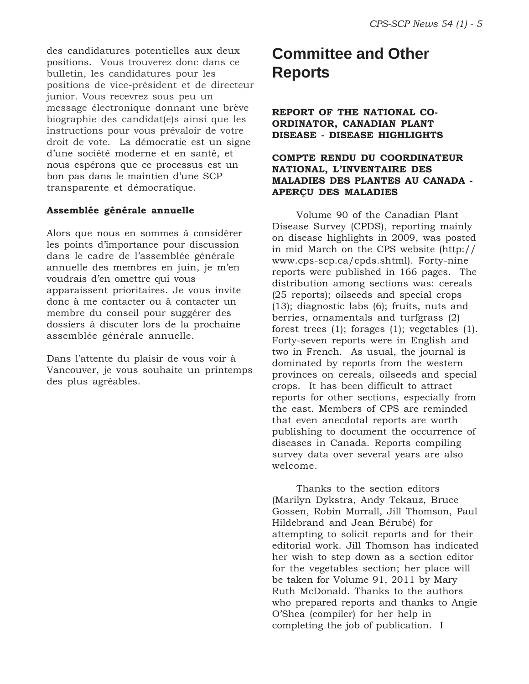des candidatures potentielles aux deux positions. Vous trouverez donc dans ce bulletin, les candidatures pour les positions de vice-président et de directeur junior. Vous recevrez sous peu un message électronique donnant une brève biographie des candidat(e)s ainsi que les instructions pour vous prévaloir de votre droit de vote. La démocratie est un signe d'une société moderne et en santé, et nous espérons que ce processus est un bon pas dans le maintien d'une SCP transparente et démocratique.

#### **Assemblée générale annuelle**

Alors que nous en sommes à considérer les points d'importance pour discussion dans le cadre de l'assemblée générale annuelle des membres en juin, je m'en voudrais d'en omettre qui vous apparaissent prioritaires. Je vous invite donc à me contacter ou à contacter un membre du conseil pour suggérer des dossiers à discuter lors de la prochaine assemblée générale annuelle.

Dans l'attente du plaisir de vous voir à Vancouver, je vous souhaite un printemps des plus agréables.

# **Committee and Other Reports**

#### **REPORT OF THE NATIONAL CO-ORDINATOR, CANADIAN PLANT DISEASE - DISEASE HIGHLIGHTS**

#### **COMPTE RENDU DU COORDINATEUR NATIONAL, L'INVENTAIRE DES MALADIES DES PLANTES AU CANADA - APERÇU DES MALADIES**

Volume 90 of the Canadian Plant Disease Survey (CPDS), reporting mainly on disease highlights in 2009, was posted in mid March on the CPS website (http:// www.cps-scp.ca/cpds.shtml). Forty-nine reports were published in 166 pages. The distribution among sections was: cereals (25 reports); oilseeds and special crops (13); diagnostic labs (6); fruits, nuts and berries, ornamentals and turfgrass (2) forest trees (1); forages (1); vegetables (1). Forty-seven reports were in English and two in French. As usual, the journal is dominated by reports from the western provinces on cereals, oilseeds and special crops. It has been difficult to attract reports for other sections, especially from the east. Members of CPS are reminded that even anecdotal reports are worth publishing to document the occurrence of diseases in Canada. Reports compiling survey data over several years are also welcome.

Thanks to the section editors (Marilyn Dykstra, Andy Tekauz, Bruce Gossen, Robin Morrall, Jill Thomson, Paul Hildebrand and Jean Bérubé) for attempting to solicit reports and for their editorial work. Jill Thomson has indicated her wish to step down as a section editor for the vegetables section; her place will be taken for Volume 91, 2011 by Mary Ruth McDonald. Thanks to the authors who prepared reports and thanks to Angie O'Shea (compiler) for her help in completing the job of publication. I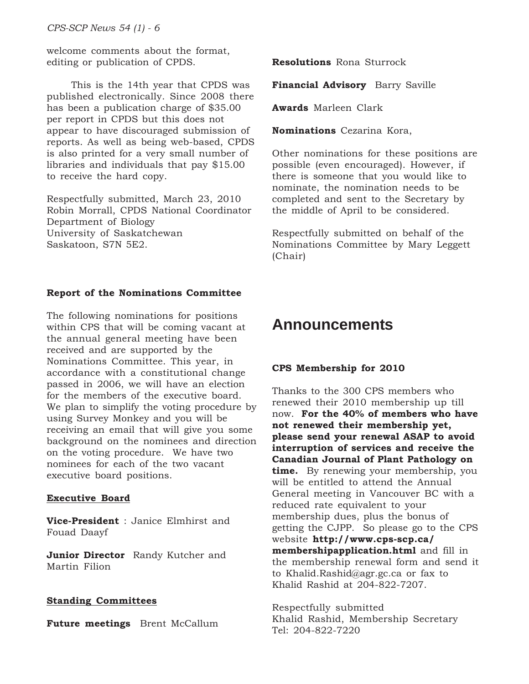welcome comments about the format, editing or publication of CPDS.

This is the 14th year that CPDS was published electronically. Since 2008 there has been a publication charge of \$35.00 per report in CPDS but this does not appear to have discouraged submission of reports. As well as being web-based, CPDS is also printed for a very small number of libraries and individuals that pay \$15.00 to receive the hard copy.

Respectfully submitted, March 23, 2010 Robin Morrall, CPDS National Coordinator Department of Biology University of Saskatchewan Saskatoon, S7N 5E2.

#### **Report of the Nominations Committee**

The following nominations for positions within CPS that will be coming vacant at the annual general meeting have been received and are supported by the Nominations Committee. This year, in accordance with a constitutional change passed in 2006, we will have an election for the members of the executive board. We plan to simplify the voting procedure by using Survey Monkey and you will be receiving an email that will give you some background on the nominees and direction on the voting procedure. We have two nominees for each of the two vacant executive board positions.

#### **Executive Board**

**Vice-President** : Janice Elmhirst and Fouad Daayf

**Junior Director** Randy Kutcher and Martin Filion

#### **Standing Committees**

**Future meetings** Brent McCallum

**Resolutions** Rona Sturrock

**Financial Advisory** Barry Saville

**Awards** Marleen Clark

**Nominations** Cezarina Kora,

Other nominations for these positions are possible (even encouraged). However, if there is someone that you would like to nominate, the nomination needs to be completed and sent to the Secretary by the middle of April to be considered.

Respectfully submitted on behalf of the Nominations Committee by Mary Leggett (Chair)

## **Announcements**

#### **CPS Membership for 2010**

Thanks to the 300 CPS members who renewed their 2010 membership up till now. **For the 40% of members who have not renewed their membership yet, please send your renewal ASAP to avoid interruption of services and receive the Canadian Journal of Plant Pathology on time.** By renewing your membership, you will be entitled to attend the Annual General meeting in Vancouver BC with a reduced rate equivalent to your membership dues, plus the bonus of getting the CJPP. So please go to the CPS website **http://www.cps-scp.ca/ membershipapplication.html** and fill in the membership renewal form and send it to Khalid.Rashid@agr.gc.ca or fax to Khalid Rashid at 204-822-7207.

Respectfully submitted Khalid Rashid, Membership Secretary Tel: 204-822-7220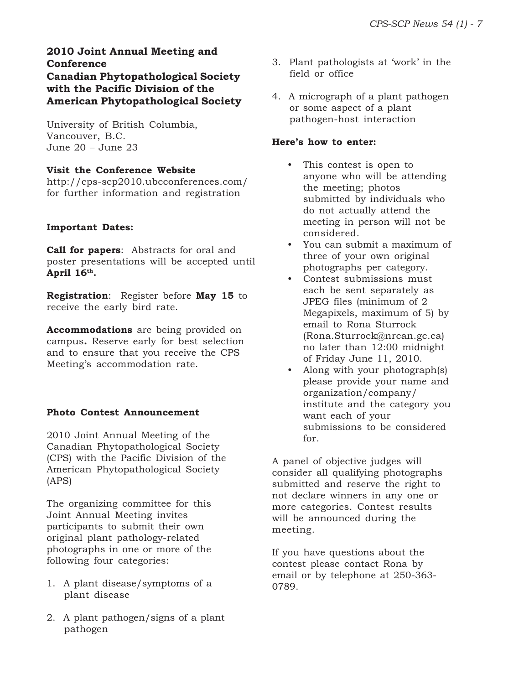#### **2010 Joint Annual Meeting and Conference Canadian Phytopathological Society with the Pacific Division of the American Phytopathological Society**

University of British Columbia, Vancouver, B.C. June 20 – June 23

#### **Visit the Conference Website**

http://cps-scp2010.ubcconferences.com/ for further information and registration

#### **Important Dates:**

**Call for papers**: Abstracts for oral and poster presentations will be accepted until **April 16th.**

**Registration**: Register before **May 15** to receive the early bird rate.

**Accommodations** are being provided on campus**.** Reserve early for best selection and to ensure that you receive the CPS Meeting's accommodation rate.

#### **Photo Contest Announcement**

2010 Joint Annual Meeting of the Canadian Phytopathological Society (CPS) with the Pacific Division of the American Phytopathological Society (APS)

The organizing committee for this Joint Annual Meeting invites participants to submit their own original plant pathology-related photographs in one or more of the following four categories:

- 1. A plant disease/symptoms of a plant disease
- 2. A plant pathogen/signs of a plant pathogen
- 3. Plant pathologists at 'work' in the field or office
- 4. A micrograph of a plant pathogen or some aspect of a plant pathogen-host interaction

#### **Here's how to enter:**

- This contest is open to anyone who will be attending the meeting; photos submitted by individuals who do not actually attend the meeting in person will not be considered.
- You can submit a maximum of three of your own original photographs per category.
- Contest submissions must each be sent separately as JPEG files (minimum of 2 Megapixels, maximum of 5) by email to Rona Sturrock (Rona.Sturrock@nrcan.gc.ca) no later than 12:00 midnight of Friday June 11, 2010.
- Along with your photograph(s) please provide your name and organization/company/ institute and the category you want each of your submissions to be considered for.

A panel of objective judges will consider all qualifying photographs submitted and reserve the right to not declare winners in any one or more categories. Contest results will be announced during the meeting.

If you have questions about the contest please contact Rona by email or by telephone at 250-363- 0789.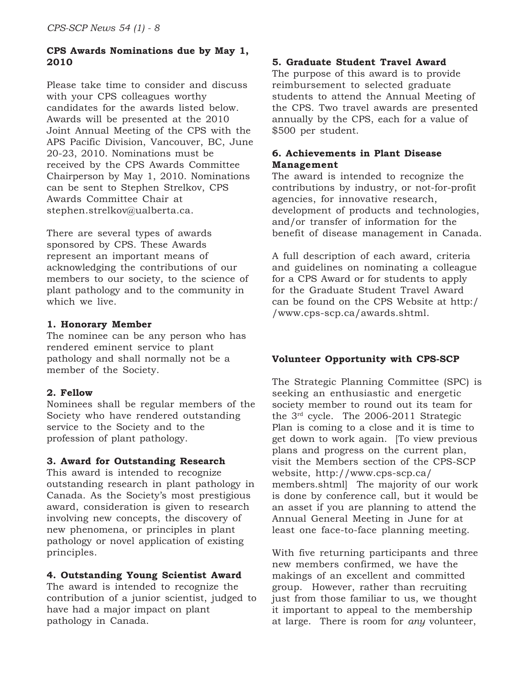#### **CPS Awards Nominations due by May 1, 2010**

Please take time to consider and discuss with your CPS colleagues worthy candidates for the awards listed below. Awards will be presented at the 2010 Joint Annual Meeting of the CPS with the APS Pacific Division, Vancouver, BC, June 20-23, 2010. Nominations must be received by the CPS Awards Committee Chairperson by May 1, 2010. Nominations can be sent to Stephen Strelkov, CPS Awards Committee Chair at stephen.strelkov@ualberta.ca.

There are several types of awards sponsored by CPS. These Awards represent an important means of acknowledging the contributions of our members to our society, to the science of plant pathology and to the community in which we live.

#### **1. Honorary Member**

The nominee can be any person who has rendered eminent service to plant pathology and shall normally not be a member of the Society.

#### **2. Fellow**

Nominees shall be regular members of the Society who have rendered outstanding service to the Society and to the profession of plant pathology.

#### **3. Award for Outstanding Research**

This award is intended to recognize outstanding research in plant pathology in Canada. As the Society's most prestigious award, consideration is given to research involving new concepts, the discovery of new phenomena, or principles in plant pathology or novel application of existing principles.

#### **4. Outstanding Young Scientist Award**

The award is intended to recognize the contribution of a junior scientist, judged to have had a major impact on plant pathology in Canada.

#### **5. Graduate Student Travel Award**

The purpose of this award is to provide reimbursement to selected graduate students to attend the Annual Meeting of the CPS. Two travel awards are presented annually by the CPS, each for a value of \$500 per student.

#### **6. Achievements in Plant Disease Management**

The award is intended to recognize the contributions by industry, or not-for-profit agencies, for innovative research, development of products and technologies, and/or transfer of information for the benefit of disease management in Canada.

A full description of each award, criteria and guidelines on nominating a colleague for a CPS Award or for students to apply for the Graduate Student Travel Award can be found on the CPS Website at http:/ /www.cps-scp.ca/awards.shtml.

#### **Volunteer Opportunity with CPS-SCP**

The Strategic Planning Committee (SPC) is seeking an enthusiastic and energetic society member to round out its team for the 3rd cycle. The 2006-2011 Strategic Plan is coming to a close and it is time to get down to work again. [To view previous plans and progress on the current plan, visit the Members section of the CPS-SCP website, http://www.cps-scp.ca/ members.shtml] The majority of our work is done by conference call, but it would be an asset if you are planning to attend the Annual General Meeting in June for at least one face-to-face planning meeting.

With five returning participants and three new members confirmed, we have the makings of an excellent and committed group. However, rather than recruiting just from those familiar to us, we thought it important to appeal to the membership at large. There is room for *any* volunteer,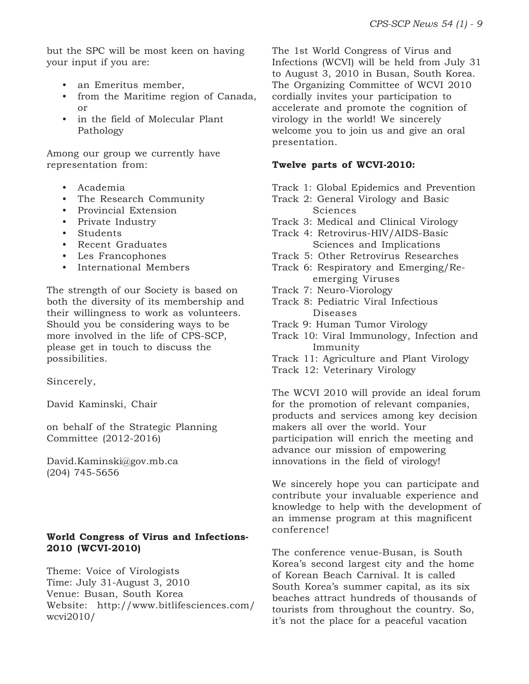but the SPC will be most keen on having your input if you are:

- an Emeritus member,
- from the Maritime region of Canada, or
- in the field of Molecular Plant Pathology

Among our group we currently have representation from:

- Academia
- The Research Community
- Provincial Extension
- Private Industry
- Students
- Recent Graduates
- Les Francophones
- International Members

The strength of our Society is based on both the diversity of its membership and their willingness to work as volunteers. Should you be considering ways to be more involved in the life of CPS-SCP, please get in touch to discuss the possibilities.

Sincerely,

David Kaminski, Chair

on behalf of the Strategic Planning Committee (2012-2016)

David.Kaminski@gov.mb.ca (204) 745-5656

#### **World Congress of Virus and Infections-2010 (WCVI-2010)**

Theme: Voice of Virologists Time: July 31-August 3, 2010 Venue: Busan, South Korea Website: http://www.bitlifesciences.com/ wcvi2010/

The 1st World Congress of Virus and Infections (WCVI) will be held from July 31 to August 3, 2010 in Busan, South Korea. The Organizing Committee of WCVI 2010 cordially invites your participation to accelerate and promote the cognition of virology in the world! We sincerely welcome you to join us and give an oral presentation.

#### **Twelve parts of WCVI-2010:**

Track 1: Global Epidemics and Prevention

Track 2: General Virology and Basic **Sciences** 

Track 3: Medical and Clinical Virology

- Track 4: Retrovirus-HIV/AIDS-Basic Sciences and Implications
- Track 5: Other Retrovirus Researches
- Track 6: Respiratory and Emerging/Reemerging Viruses
- Track 7: Neuro-Viorology
- Track 8: Pediatric Viral Infectious Diseases
- Track 9: Human Tumor Virology
- Track 10: Viral Immunology, Infection and Immunity
- Track 11: Agriculture and Plant Virology
- Track 12: Veterinary Virology

The WCVI 2010 will provide an ideal forum for the promotion of relevant companies, products and services among key decision makers all over the world. Your participation will enrich the meeting and advance our mission of empowering innovations in the field of virology!

We sincerely hope you can participate and contribute your invaluable experience and knowledge to help with the development of an immense program at this magnificent conference!

The conference venue-Busan, is South Korea's second largest city and the home of Korean Beach Carnival. It is called South Korea's summer capital, as its six beaches attract hundreds of thousands of tourists from throughout the country. So, it's not the place for a peaceful vacation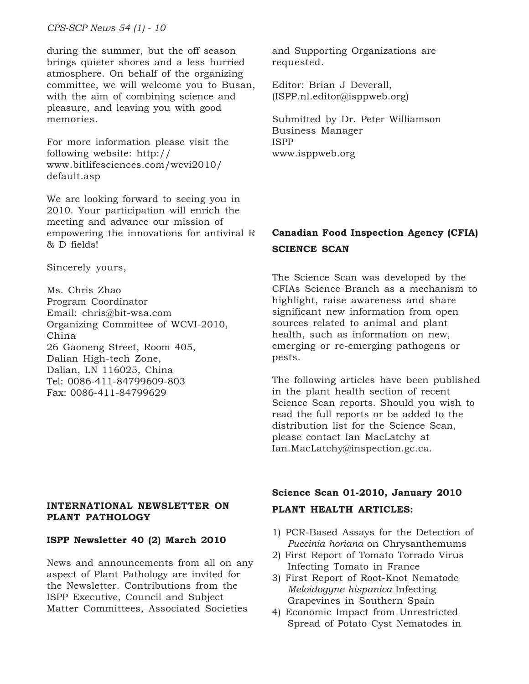*CPS-SCP News 54 (1) - 10*

during the summer, but the off season brings quieter shores and a less hurried atmosphere. On behalf of the organizing committee, we will welcome you to Busan, with the aim of combining science and pleasure, and leaving you with good memories.

For more information please visit the following website: http:// www.bitlifesciences.com/wcvi2010/ default.asp

We are looking forward to seeing you in 2010. Your participation will enrich the meeting and advance our mission of empowering the innovations for antiviral R & D fields!

Sincerely yours,

Ms. Chris Zhao Program Coordinator Email: chris@bit-wsa.com Organizing Committee of WCVI-2010, China 26 Gaoneng Street, Room 405, Dalian High-tech Zone, Dalian, LN 116025, China Tel: 0086-411-84799609-803 Fax: 0086-411-84799629

#### **INTERNATIONAL NEWSLETTER ON PLANT PATHOLOGY**

#### **ISPP Newsletter 40 (2) March 2010**

News and announcements from all on any aspect of Plant Pathology are invited for the Newsletter. Contributions from the ISPP Executive, Council and Subject Matter Committees, Associated Societies

and Supporting Organizations are requested.

Editor: Brian J Deverall, (ISPP.nl.editor@isppweb.org)

Submitted by Dr. Peter Williamson Business Manager ISPP www.isppweb.org

## **Canadian Food Inspection Agency (CFIA) SCIENCE SCAN**

The Science Scan was developed by the CFIAs Science Branch as a mechanism to highlight, raise awareness and share significant new information from open sources related to animal and plant health, such as information on new, emerging or re-emerging pathogens or pests.

The following articles have been published in the plant health section of recent Science Scan reports. Should you wish to read the full reports or be added to the distribution list for the Science Scan, please contact Ian MacLatchy at Ian.MacLatchy@inspection.gc.ca.

#### **Science Scan 01-2010, January 2010**

#### **PLANT HEALTH ARTICLES:**

- 1) PCR-Based Assays for the Detection of *Puccinia horiana* on Chrysanthemums
- 2) First Report of Tomato Torrado Virus Infecting Tomato in France
- 3) First Report of Root-Knot Nematode *Meloidogyne hispanica* Infecting Grapevines in Southern Spain
- 4) Economic Impact from Unrestricted Spread of Potato Cyst Nematodes in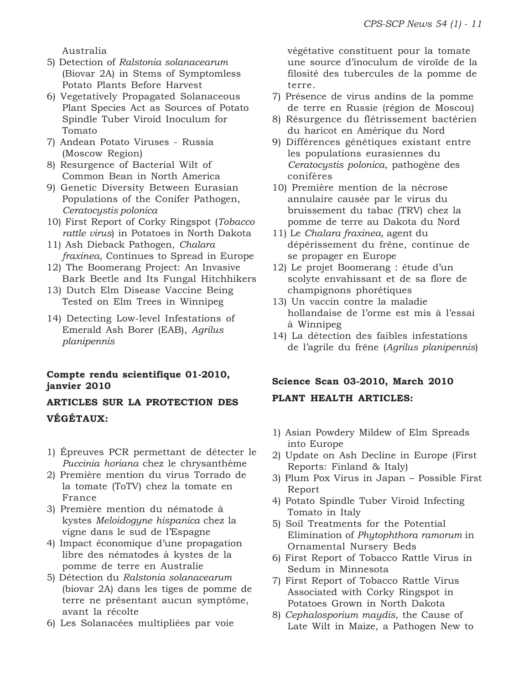Australia

- 5) Detection of *Ralstonia solanacearum* (Biovar 2A) in Stems of Symptomless Potato Plants Before Harvest
- 6) Vegetatively Propagated Solanaceous Plant Species Act as Sources of Potato Spindle Tuber Viroid Inoculum for Tomato
- 7) Andean Potato Viruses Russia (Moscow Region)
- 8) Resurgence of Bacterial Wilt of Common Bean in North America
- 9) Genetic Diversity Between Eurasian Populations of the Conifer Pathogen, *Ceratocystis polonica*
- 10) First Report of Corky Ringspot (*Tobacco rattle virus*) in Potatoes in North Dakota
- 11) Ash Dieback Pathogen, *Chalara fraxinea,* Continues to Spread in Europe
- 12) The Boomerang Project: An Invasive Bark Beetle and Its Fungal Hitchhikers
- 13) Dutch Elm Disease Vaccine Being Tested on Elm Trees in Winnipeg
- 14) Detecting Low-level Infestations of Emerald Ash Borer (EAB), *Agrilus planipennis*

#### **Compte rendu scientifique 01-2010, janvier 2010**

## **ARTICLES SUR LA PROTECTION DES VÉGÉTAUX:**

- 1) Épreuves PCR permettant de détecter le *Puccinia horiana* chez le chrysanthème
- 2) Première mention du virus Torrado de la tomate (ToTV) chez la tomate en France
- 3) Première mention du nématode à kystes *Meloidogyne hispanica* chez la vigne dans le sud de l'Espagne
- 4) Impact économique d'une propagation libre des nématodes à kystes de la pomme de terre en Australie
- 5) Détection du *Ralstonia solanacearum* (biovar 2A) dans les tiges de pomme de terre ne présentant aucun symptôme, avant la récolte
- 6) Les Solanacées multipliées par voie

végétative constituent pour la tomate une source d'inoculum de viroïde de la filosité des tubercules de la pomme de terre.

- 7) Présence de virus andins de la pomme de terre en Russie (région de Moscou)
- 8) Résurgence du flétrissement bactérien du haricot en Amérique du Nord
- 9) Différences génétiques existant entre les populations eurasiennes du *Ceratocystis polonica*, pathogène des conifères
- 10) Première mention de la nécrose annulaire causée par le virus du bruissement du tabac (TRV) chez la pomme de terre au Dakota du Nord
- 11) Le *Chalara fraxinea,* agent du dépérissement du frêne, continue de se propager en Europe
- 12) Le projet Boomerang : étude d'un scolyte envahissant et de sa flore de champignons phorétiques
- 13) Un vaccin contre la maladie hollandaise de l'orme est mis à l'essai à Winnipeg
- 14) La détection des faibles infestations de l'agrile du frêne (*Agrilus planipennis*)

### **Science Scan 03-2010, March 2010**

#### **PLANT HEALTH ARTICLES:**

- 1) Asian Powdery Mildew of Elm Spreads into Europe
- 2) Update on Ash Decline in Europe (First Reports: Finland & Italy)
- 3) Plum Pox Virus in Japan Possible First Report
- 4) Potato Spindle Tuber Viroid Infecting Tomato in Italy
- 5) Soil Treatments for the Potential Elimination of *Phytophthora ramorum* in Ornamental Nursery Beds
- 6) First Report of Tobacco Rattle Virus in Sedum in Minnesota
- 7) First Report of Tobacco Rattle Virus Associated with Corky Ringspot in Potatoes Grown in North Dakota
- 8) *Cephalosporium maydis*, the Cause of Late Wilt in Maize, a Pathogen New to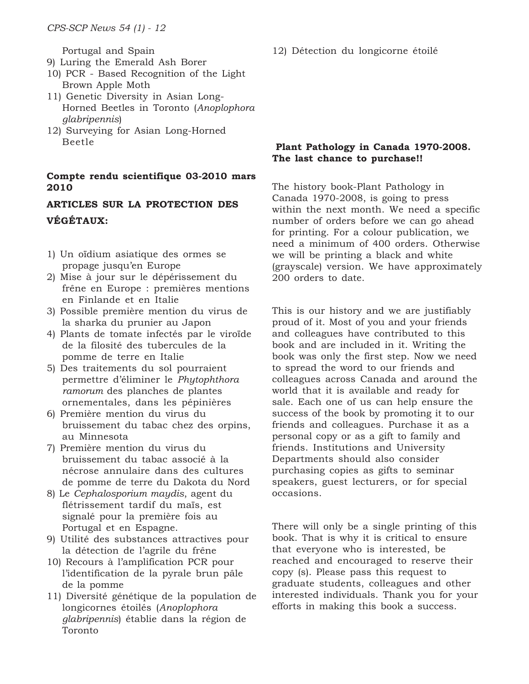Portugal and Spain

- 9) Luring the Emerald Ash Borer
- 10) PCR Based Recognition of the Light Brown Apple Moth
- 11) Genetic Diversity in Asian Long-Horned Beetles in Toronto (*Anoplophora glabripennis*)
- 12) Surveying for Asian Long-Horned Beetle

#### **Compte rendu scientifique 03-2010 mars 2010**

### **ARTICLES SUR LA PROTECTION DES VÉGÉTAUX:**

- 1) Un oïdium asiatique des ormes se propage jusqu'en Europe
- 2) Mise à jour sur le dépérissement du frêne en Europe : premières mentions en Finlande et en Italie
- 3) Possible première mention du virus de la sharka du prunier au Japon
- 4) Plants de tomate infectés par le viroïde de la filosité des tubercules de la pomme de terre en Italie
- 5) Des traitements du sol pourraient permettre d'éliminer le *Phytophthora ramorum* des planches de plantes ornementales, dans les pépinières
- 6) Première mention du virus du bruissement du tabac chez des orpins, au Minnesota
- 7) Première mention du virus du bruissement du tabac associé à la nécrose annulaire dans des cultures de pomme de terre du Dakota du Nord
- 8) Le *Cephalosporium maydis*, agent du flétrissement tardif du maïs, est signalé pour la première fois au Portugal et en Espagne.
- 9) Utilité des substances attractives pour la détection de l'agrile du frêne
- 10) Recours à l'amplification PCR pour l'identification de la pyrale brun pâle de la pomme
- 11) Diversité génétique de la population de longicornes étoilés (*Anoplophora glabripennis*) établie dans la région de Toronto

12) Détection du longicorne étoilé

#### **Plant Pathology in Canada 1970-2008. The last chance to purchase!!**

The history book-Plant Pathology in Canada 1970-2008, is going to press within the next month. We need a specific number of orders before we can go ahead for printing. For a colour publication, we need a minimum of 400 orders. Otherwise we will be printing a black and white (grayscale) version. We have approximately 200 orders to date.

This is our history and we are justifiably proud of it. Most of you and your friends and colleagues have contributed to this book and are included in it. Writing the book was only the first step. Now we need to spread the word to our friends and colleagues across Canada and around the world that it is available and ready for sale. Each one of us can help ensure the success of the book by promoting it to our friends and colleagues. Purchase it as a personal copy or as a gift to family and friends. Institutions and University Departments should also consider purchasing copies as gifts to seminar speakers, guest lecturers, or for special occasions.

There will only be a single printing of this book. That is why it is critical to ensure that everyone who is interested, be reached and encouraged to reserve their copy (s). Please pass this request to graduate students, colleagues and other interested individuals. Thank you for your efforts in making this book a success.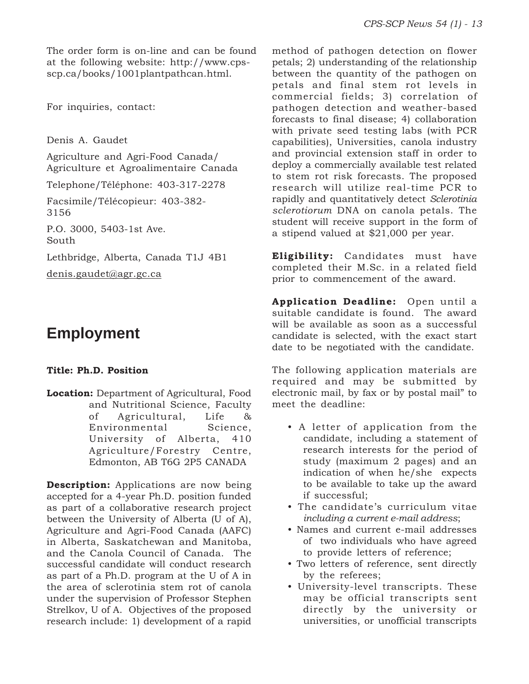The order form is on-line and can be found at the following website: http://www.cpsscp.ca/books/1001plantpathcan.html.

For inquiries, contact:

Denis A. Gaudet

Agriculture and Agri-Food Canada/ Agriculture et Agroalimentaire Canada

Telephone/Téléphone: 403-317-2278

Facsimile/Télécopieur: 403-382- 3156

P.O. 3000, 5403-1st Ave. South

Lethbridge, Alberta, Canada T1J 4B1

denis.gaudet@agr.gc.ca

## **Employment**

#### **Title: Ph.D. Position**

**Location:** Department of Agricultural, Food and Nutritional Science, Faculty of Agricultural, Life & Environmental Science, University of Alberta, 410 Agriculture/Forestry Centre, Edmonton, AB T6G 2P5 CANADA

**Description:** Applications are now being accepted for a 4-year Ph.D. position funded as part of a collaborative research project between the University of Alberta (U of A), Agriculture and Agri-Food Canada (AAFC) in Alberta, Saskatchewan and Manitoba, and the Canola Council of Canada. The successful candidate will conduct research as part of a Ph.D. program at the U of A in the area of sclerotinia stem rot of canola under the supervision of Professor Stephen Strelkov, U of A. Objectives of the proposed research include: 1) development of a rapid method of pathogen detection on flower petals; 2) understanding of the relationship between the quantity of the pathogen on petals and final stem rot levels in commercial fields; 3) correlation of pathogen detection and weather-based forecasts to final disease; 4) collaboration with private seed testing labs (with PCR capabilities), Universities, canola industry and provincial extension staff in order to deploy a commercially available test related to stem rot risk forecasts. The proposed research will utilize real-time PCR to rapidly and quantitatively detect *Sclerotinia sclerotiorum* DNA on canola petals. The student will receive support in the form of a stipend valued at \$21,000 per year.

**Eligibility:** Candidates must have completed their M.Sc. in a related field prior to commencement of the award.

**Application Deadline:** Open until a suitable candidate is found. The award will be available as soon as a successful candidate is selected, with the exact start date to be negotiated with the candidate.

The following application materials are required and may be submitted by electronic mail, by fax or by postal mail" to meet the deadline:

- A letter of application from the candidate, including a statement of research interests for the period of study (maximum 2 pages) and an indication of when he/she expects to be available to take up the award if successful;
- The candidate's curriculum vitae *including a current e-mail address*;
- Names and current e-mail addresses of two individuals who have agreed to provide letters of reference;
- Two letters of reference, sent directly by the referees;
- University-level transcripts. These may be official transcripts sent directly by the university or universities, or unofficial transcripts